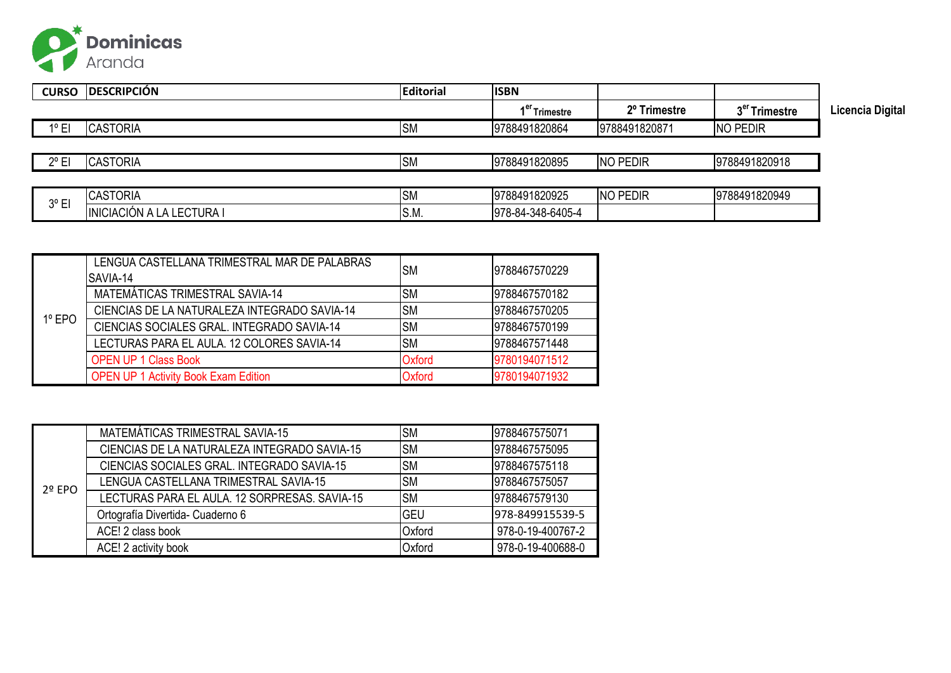

| <b>CURSO</b>   | <b>DESCRIPCIÓN</b>        | <b>Editorial</b> | <b>ISBN</b>               |               |                           |                  |
|----------------|---------------------------|------------------|---------------------------|---------------|---------------------------|------------------|
|                |                           |                  | 1 <sup>er</sup> Trimestre | 2º Trimestre  | 3 <sup>er</sup> Trimestre | Licencia Digital |
| $1^{\circ}$ EI | <b>CASTORIA</b>           | <b>SM</b>        | 9788491820864             | 9788491820871 | NO PEDIR                  |                  |
|                |                           |                  |                           |               |                           |                  |
| $2^{\circ}$ EI | <b>CASTORIA</b>           | <b>SM</b>        | 9788491820895             | NO PEDIR      | 9788491820918             |                  |
|                |                           |                  |                           |               |                           |                  |
| $3^{\circ}$ EI | <b>CASTORIA</b>           | <b>SM</b>        | 9788491820925             | NO PEDIR      | 9788491820949             |                  |
|                | INICIACIÓN A LA LECTURA I | S.M.             | 978-84-348-6405-4         |               |                           |                  |

|          | LENGUA CASTELLANA TRIMESTRAL MAR DE PALABRAS<br>SAVIA-14 | <b>SM</b>     | 19788467570229 |
|----------|----------------------------------------------------------|---------------|----------------|
|          | MATEMÁTICAS TRIMESTRAL SAVIA-14                          | <b>SM</b>     | 9788467570182  |
| $1°$ EPO | CIENCIAS DE LA NATURALEZA INTEGRADO SAVIA-14             | <b>SM</b>     | 9788467570205  |
|          | CIENCIAS SOCIALES GRAL, INTEGRADO SAVIA-14               | <b>SM</b>     | 9788467570199  |
|          | LECTURAS PARA EL AULA, 12 COLORES SAVIA-14               | <b>SM</b>     | 9788467571448  |
|          | <b>OPEN UP 1 Class Book</b>                              | Oxford        | 9780194071512  |
|          | <b>OPEN UP 1 Activity Book Exam Edition</b>              | <b>Oxford</b> | 9780194071932  |

|                 | MATEMÁTICAS TRIMESTRAL SAVIA-15               | <b>SM</b>  | 9788467575071     |
|-----------------|-----------------------------------------------|------------|-------------------|
|                 | CIENCIAS DE LA NATURALEZA INTEGRADO SAVIA-15  | <b>SM</b>  | 9788467575095     |
|                 | CIENCIAS SOCIALES GRAL, INTEGRADO SAVIA-15    | <b>SM</b>  | 9788467575118     |
| $2^{\circ}$ EPO | LENGUA CASTELLANA TRIMESTRAL SAVIA-15         | <b>SM</b>  | 9788467575057     |
|                 | LECTURAS PARA EL AULA, 12 SORPRESAS, SAVIA-15 | <b>SM</b>  | 9788467579130     |
|                 | Ortografía Divertida- Cuaderno 6              | <b>GEU</b> | 978-849915539-5   |
|                 | ACE! 2 class book                             | Oxford     | 978-0-19-400767-2 |
|                 | ACE! 2 activity book                          | Oxford     | 978-0-19-400688-0 |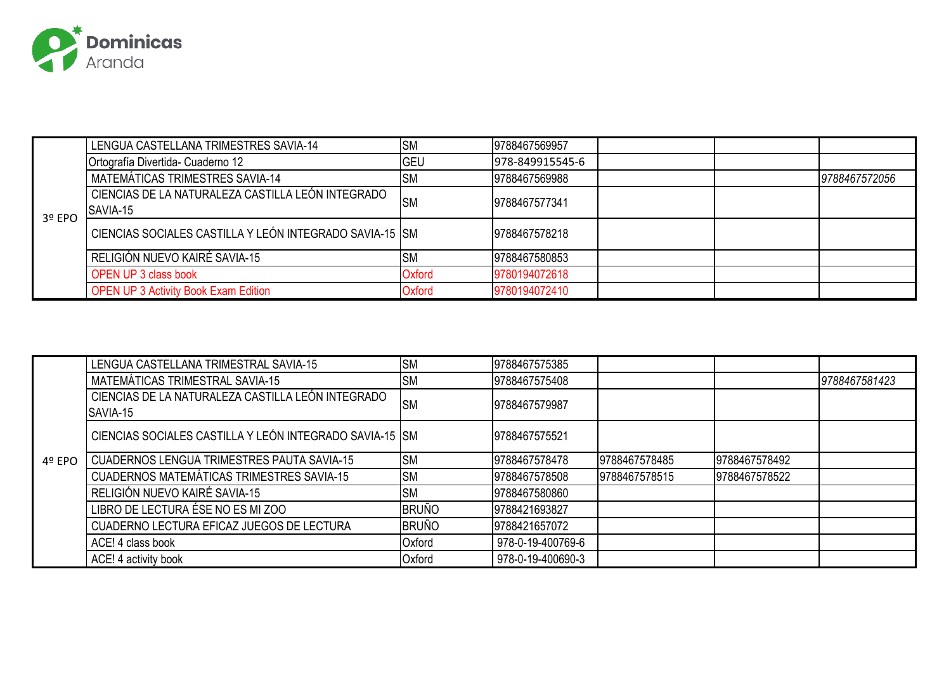

|          | LENGUA CASTELLANA TRIMESTRES SAVIA-14                   | <b>SM</b>   | 9788467569957   |               |
|----------|---------------------------------------------------------|-------------|-----------------|---------------|
|          | Ortografía Divertida- Cuaderno 12                       | <b>IGEU</b> | 978-849915545-6 |               |
|          | MATEMÁTICAS TRIMESTRES SAVIA-14                         | <b>ISM</b>  | 9788467569988   | 9788467572056 |
|          | CIENCIAS DE LA NATURALEZA CASTILLA LEÓN INTEGRADO       | <b>ISM</b>  | 9788467577341   |               |
| $3°$ EPO | SAVIA-15                                                |             |                 |               |
|          | CIENCIAS SOCIALES CASTILLA Y LEÓN INTEGRADO SAVIA-15 SM |             | 9788467578218   |               |
|          | RELIGIÓN NUEVO KAIRÉ SAVIA-15                           | <b>ISM</b>  | 9788467580853   |               |
|          | <b>OPEN UP 3 class book</b>                             | Oxford      | 9780194072618   |               |
|          | <b>OPEN UP 3 Activity Book Exam Edition</b>             | Oxford      | 9780194072410   |               |

|        | LENGUA CASTELLANA TRIMESTRAL SAVIA-15                         | <b>SM</b>    | 9788467575385     |               |               |               |
|--------|---------------------------------------------------------------|--------------|-------------------|---------------|---------------|---------------|
|        | MATEMÁTICAS TRIMESTRAL SAVIA-15                               | <b>SM</b>    | 9788467575408     |               |               | 9788467581423 |
|        | CIENCIAS DE LA NATURALEZA CASTILLA LEÓN INTEGRADO<br>SAVIA-15 | <b>SM</b>    | 9788467579987     |               |               |               |
|        | CIENCIAS SOCIALES CASTILLA Y LEÓN INTEGRADO SAVIA-15 SM       |              | 9788467575521     |               |               |               |
| 4º EPO | <b>CUADERNOS LENGUA TRIMESTRES PAUTA SAVIA-15</b>             | <b>SM</b>    | 9788467578478     | 9788467578485 | 9788467578492 |               |
|        | CUADERNOS MATEMÁTICAS TRIMESTRES SAVIA-15                     | <b>SM</b>    | 9788467578508     | 9788467578515 | 9788467578522 |               |
|        | RELIGIÓN NUEVO KAIRÉ SAVIA-15                                 | <b>SM</b>    | 9788467580860     |               |               |               |
|        | LIBRO DE LECTURA ÉSE NO ES MI ZOO                             | <b>BRUÑO</b> | 9788421693827     |               |               |               |
|        | CUADERNO LECTURA EFICAZ JUEGOS DE LECTURA                     | <b>BRUÑO</b> | 9788421657072     |               |               |               |
|        | ACE! 4 class book                                             | Oxford       | 978-0-19-400769-6 |               |               |               |
|        | ACE! 4 activity book                                          | Oxford       | 978-0-19-400690-3 |               |               |               |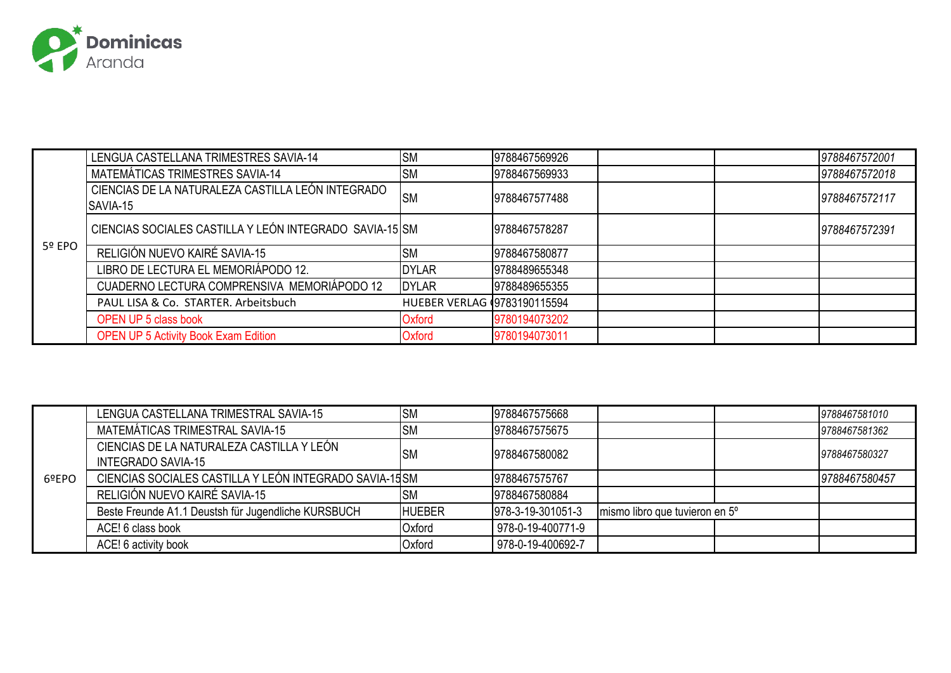

|        | LENGUA CASTELLANA TRIMESTRES SAVIA-14                   | <b>SM</b>                     | 9788467569926 |  | 9788467572001 |
|--------|---------------------------------------------------------|-------------------------------|---------------|--|---------------|
|        | MATEMÁTICAS TRIMESTRES SAVIA-14                         | <b>SM</b>                     | 9788467569933 |  | 9788467572018 |
|        | CIENCIAS DE LA NATURALEZA CASTILLA LEÓN INTEGRADO       | <b>SM</b>                     | 9788467577488 |  | 9788467572117 |
|        | SAVIA-15                                                |                               |               |  |               |
|        | CIENCIAS SOCIALES CASTILLA Y LEÓN INTEGRADO SAVIA-15 SM |                               | 9788467578287 |  | 9788467572391 |
| 5º EPO | RELIGIÓN NUEVO KAIRÉ SAVIA-15                           | <b>SM</b>                     | 9788467580877 |  |               |
|        | LIBRO DE LECTURA EL MEMORIÁPODO 12.                     | <b>DYLAR</b>                  | 9788489655348 |  |               |
|        | CUADERNO LECTURA COMPRENSIVA MEMORIÁPODO 12             | <b>DYLAR</b>                  | 9788489655355 |  |               |
|        | PAUL LISA & Co. STARTER. Arbeitsbuch                    | HUEBER VERLAG (9783190115594) |               |  |               |
|        | <b>OPEN UP 5 class book</b>                             | Oxford                        | 9780194073202 |  |               |
|        | <b>OPEN UP 5 Activity Book Exam Edition</b>             | Oxford                        | 9780194073011 |  |               |

|       | LENGUA CASTELLANA TRIMESTRAL SAVIA-15                                  | <b>SM</b>     | 9788467575668     |                                | 9788467581010 |
|-------|------------------------------------------------------------------------|---------------|-------------------|--------------------------------|---------------|
|       | MATEMÁTICAS TRIMESTRAL SAVIA-15                                        | <b>SM</b>     | 9788467575675     |                                | 9788467581362 |
|       | CIENCIAS DE LA NATURALEZA CASTILLA Y LEÓN<br><b>INTEGRADO SAVIA-15</b> | <b>SM</b>     | 9788467580082     |                                | 9788467580327 |
| 6ºEPO | CIENCIAS SOCIALES CASTILLA Y LEÓN INTEGRADO SAVIA-15 SM                |               | 9788467575767     |                                | 9788467580457 |
|       | RELIGIÓN NUEVO KAIRÉ SAVIA-15                                          | <b>SM</b>     | 9788467580884     |                                |               |
|       | Beste Freunde A1.1 Deustsh für Jugendliche KURSBUCH                    | <b>HUEBER</b> | 978-3-19-301051-3 | mismo libro que tuvieron en 5° |               |
|       | ACE! 6 class book                                                      | Oxford        | 978-0-19-400771-9 |                                |               |
|       | ACE! 6 activity book                                                   | Oxford        | 978-0-19-400692-7 |                                |               |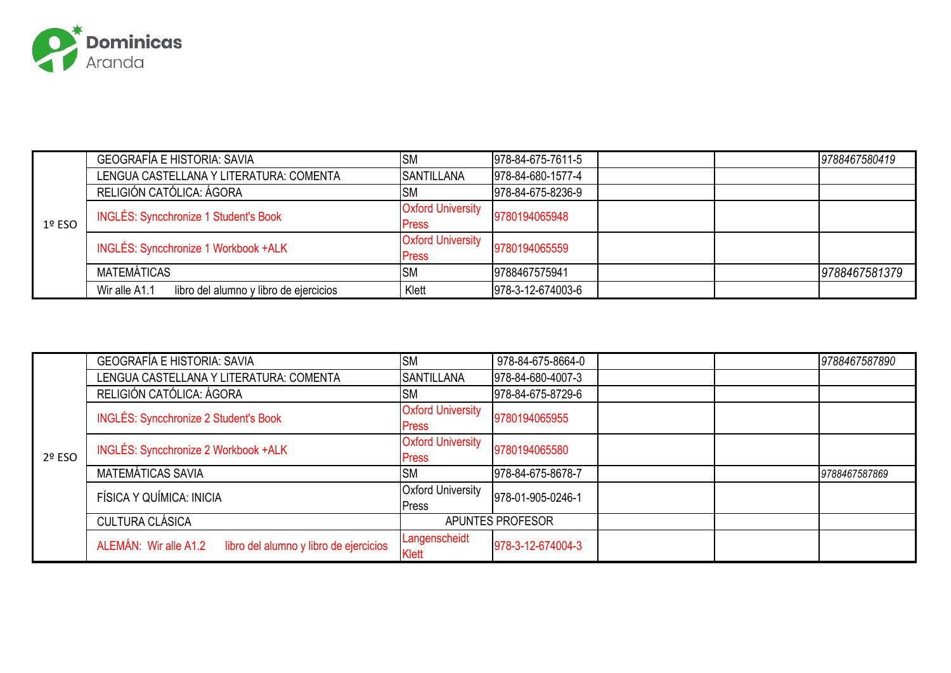

|        | <b>GEOGRAFÍA E HISTORIA: SAVIA</b>                      | <b>SM</b>                | 978-84-675-7611-5 | 9788467580419 |
|--------|---------------------------------------------------------|--------------------------|-------------------|---------------|
|        | LENGUA CASTELLANA Y LITERATURA: COMENTA                 | <b>SANTILLANA</b>        | 978-84-680-1577-4 |               |
|        | RELIGIÓN CATÓLICA: ÁGORA                                | <b>SM</b>                | 978-84-675-8236-9 |               |
|        | <b>INGLÉS: Syncchronize 1 Student's Book</b>            | <b>Oxford University</b> | 9780194065948     |               |
| 1º ESO |                                                         | <b>Press</b>             |                   |               |
|        | INGLÉS: Syncchronize 1 Workbook +ALK                    | <b>Oxford University</b> | 9780194065559     |               |
|        |                                                         | <b>Press</b>             |                   |               |
|        | MATEMÁTICAS                                             | <b>SM</b>                | 9788467575941     | 9788467581379 |
|        | Wir alle A1.1<br>libro del alumno y libro de ejercicios | Klett                    | 978-3-12-674003-6 |               |

|        | <b>GEOGRAFÍA E HISTORIA: SAVIA</b>                              | <b>SM</b>                                | 978-84-675-8664-0 |  | 9788467587890 |
|--------|-----------------------------------------------------------------|------------------------------------------|-------------------|--|---------------|
|        | LENGUA CASTELLANA Y LITERATURA: COMENTA                         | <b>SANTILLANA</b>                        | 978-84-680-4007-3 |  |               |
|        | RELIGIÓN CATÓLICA: ÁGORA                                        | <b>SM</b>                                | 978-84-675-8729-6 |  |               |
|        | <b>INGLÉS: Syncchronize 2 Student's Book</b>                    | <b>Oxford University</b><br><b>Press</b> | 9780194065955     |  |               |
| 2º ESO | INGLÉS: Syncchronize 2 Workbook +ALK                            | <b>Oxford University</b><br><b>Press</b> | 9780194065580     |  |               |
|        | MATEMÁTICAS SAVIA                                               | <b>SM</b>                                | 978-84-675-8678-7 |  | 9788467587869 |
|        | FÍSICA Y QUÍMICA: INICIA                                        | <b>Oxford University</b><br>Press        | 978-01-905-0246-1 |  |               |
|        | <b>CULTURA CLÁSICA</b>                                          |                                          | APUNTES PROFESOR  |  |               |
|        | ALEMÁN: Wir alle A1.2<br>libro del alumno y libro de ejercicios | Langenscheidt<br>Klett                   | 978-3-12-674004-3 |  |               |